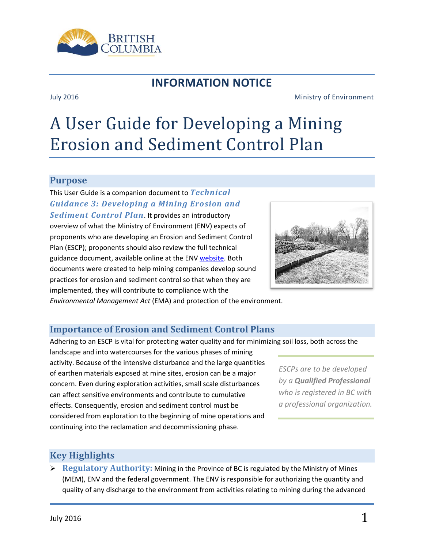

## **INFORMATION NOTICE**

#### July 2016 Ministry of Environment

# A User Guide for Developing a Mining Erosion and Sediment Control Plan

#### **Purpose**

This User Guide is a companion document to *Technical Guidance 3: Developing a Mining Erosion and Sediment Control Plan*. It provides an introductory overview of what the Ministry of Environment (ENV) expects of proponents who are developing an Erosion and Sediment Control Plan (ESCP); proponents should also review the full technical guidance document, available online at the EN[V website.](http://www2.gov.bc.ca/gov/content/environment/waste-management/industrial-waste/mining-smelting/guidance-documents) Both documents were created to help mining companies develop sound practices for erosion and sediment control so that when they are implemented, they will contribute to compliance with the



*Environmental Management Act* (EMA) and protection of the environment.

### **Importance of Erosion and Sediment Control Plans**

Adhering to an ESCP is vital for protecting water quality and for minimizing soil loss, both across the

landscape and into watercourses for the various phases of mining activity. Because of the intensive disturbance and the large quantities of earthen materials exposed at mine sites, erosion can be a major concern. Even during exploration activities, small scale disturbances can affect sensitive environments and contribute to cumulative effects. Consequently, erosion and sediment control must be considered from exploration to the beginning of mine operations and continuing into the reclamation and decommissioning phase.

*ESCPs are to be developed by a Qualified Professional who is registered in BC with a professional organization.*

### **Key Highlights**

 **Regulatory Authority:** Mining in the Province of BC is regulated by the Ministry of Mines (MEM), ENV and the federal government. The ENV is responsible for authorizing the quantity and quality of any discharge to the environment from activities relating to mining during the advanced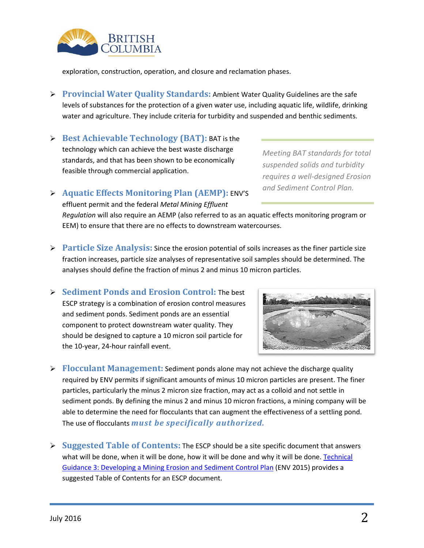

exploration, construction, operation, and closure and reclamation phases.

- **Provincial Water Quality Standards:** Ambient Water Quality Guidelines are the safe levels of substances for the protection of a given water use, including aquatic life, wildlife, drinking water and agriculture. They include criteria for turbidity and suspended and benthic sediments.
- **Best Achievable Technology (BAT):** BAT is the technology which can achieve the best waste discharge standards, and that has been shown to be economically feasible through commercial application.

*Meeting BAT standards for total suspended solids and turbidity requires a well-designed Erosion and Sediment Control Plan.*

#### **Aquatic Effects Monitoring Plan (AEMP):** ENV'S

effluent permit and the federal *Metal Mining Effluent* 

*Regulation* will also require an AEMP (also referred to as an aquatic effects monitoring program or EEM) to ensure that there are no effects to downstream watercourses.

- **Particle Size Analysis:** Since the erosion potential of soils increases as the finer particle size fraction increases, particle size analyses of representative soil samples should be determined. The analyses should define the fraction of minus 2 and minus 10 micron particles.
- **Sediment Ponds and Erosion Control:** The best ESCP strategy is a combination of erosion control measures and sediment ponds. Sediment ponds are an essential component to protect downstream water quality. They should be designed to capture a 10 micron soil particle for the 10-year, 24-hour rainfall event.



- **Flocculant Management:** Sediment ponds alone may not achieve the discharge quality required by ENV permits if significant amounts of minus 10 micron particles are present. The finer particles, particularly the minus 2 micron size fraction, may act as a colloid and not settle in sediment ponds. By defining the minus 2 and minus 10 micron fractions, a mining company will be able to determine the need for flocculants that can augment the effectiveness of a settling pond. The use of flocculants *must be specifically authorized.*
- **Suggested Table of Contents:** The ESCP should be a site specific document that answers what will be done, when it will be done, how it will be done and why it will be done. Technical [Guidance 3: Developing a Mining Erosion and Sediment Control Plan](http://www2.gov.bc.ca/gov/content/environment/waste-management/industrial-waste/mining-smelting/guidance-documents) (ENV 2015) provides a suggested Table of Contents for an ESCP document.